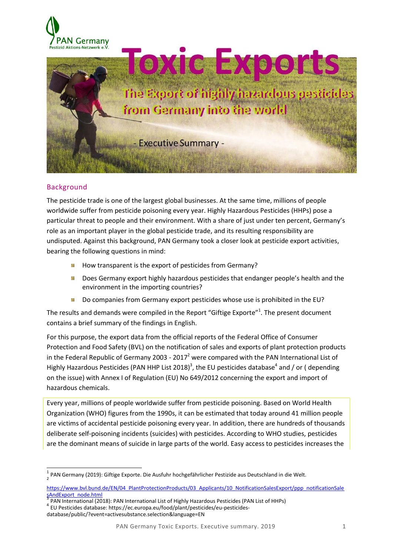



# Background

The pesticide trade is one of the largest global businesses. At the same time, millions of people worldwide suffer from pesticide poisoning every year. Highly Hazardous Pesticides (HHPs) pose a particular threat to people and their environment. With a share of just under ten percent, Germany's role as an important player in the global pesticide trade, and its resulting responsibility are undisputed. Against this background, PAN Germany took a closer look at pesticide export activities, bearing the following questions in mind:

- How transparent is the export of pesticides from Germany?
- Does Germany export highly hazardous pesticides that endanger people's health and the **Signal** environment in the importing countries?
- Do companies from Germany export pesticides whose use is prohibited in the EU? 骗

The results and demands were compiled in the Report "Giftige Exporte"<sup>1</sup>. The present document contains a brief summary of the findings in English.

For this purpose, the export data from the official reports of the Federal Office of Consumer Protection and Food Safety (BVL) on the notification of sales and exports of plant protection products in the Federal Republic of Germany 2003 - 2017<sup>2</sup> were compared with the PAN International List of Highly Hazardous Pesticides (PAN HHP List 2018)<sup>3</sup>, the EU pesticides database<sup>4</sup> and / or (depending on the issue) with Annex I of Regulation (EU) No 649/2012 concerning the export and import of hazardous chemicals.

Every year, millions of people worldwide suffer from pesticide poisoning. Based on World Health Organization (WHO) figures from the 1990s, it can be estimated that today around 41 million people are victims of accidental pesticide poisoning every year. In addition, there are hundreds of thousands deliberate self-poisoning incidents (suicides) with pesticides. According to WHO studies, pesticides are the dominant means of suicide in large parts of the world. Easy access to pesticides increases the

 1 PAN Germany (2019): Giftige Exporte. Die Ausfuhr hochgefährlicher Pestizide aus Deutschland in die Welt. 2

[https://www.bvl.bund.de/EN/04\\_PlantProtectionProducts/03\\_Applicants/10\\_NotificationSalesExport/ppp\\_notificationSale](https://www.bvl.bund.de/EN/04_PlantProtectionProducts/03_Applicants/10_NotificationSalesExport/ppp_notificationSalesAndExport_node.html) [sAndExport\\_node.html](https://www.bvl.bund.de/EN/04_PlantProtectionProducts/03_Applicants/10_NotificationSalesExport/ppp_notificationSalesAndExport_node.html)<br>3 DAN International (20

PAN International (2018): PAN International List of Highly Hazardous Pesticides (PAN List of HHPs) 4 EU Pesticides database:<https://ec.europa.eu/food/plant/pesticides/eu-pesticides->

database/public/?event=activesubstance.selection&language=EN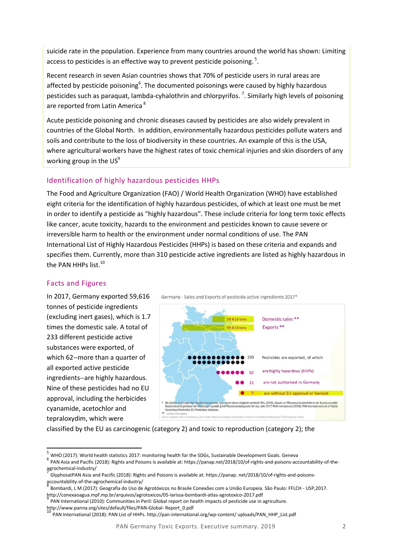suicide rate in the population. Experience from many countries around the world has shown: Limiting access to pesticides is an effective way to prevent pesticide poisoning.<sup>5</sup>.

Recent research in seven Asian countries shows that 70% of pesticide users in rural areas are affected by pesticide poisoning<sup>6</sup>. The documented poisonings were caused by highly hazardous pesticides such as paraquat, lambda-cyhalothrin and chlorpyrifos.<sup>7</sup>. Similarly high levels of poisoning are reported from Latin America<sup>8</sup>

Acute pesticide poisoning and chronic diseases caused by pesticides are also widely prevalent in countries of the Global North. In addition, environmentally hazardous pesticides pollute waters and soils and contribute to the loss of biodiversity in these countries. An example of this is the USA, where agricultural workers have the highest rates of toxic chemical injuries and skin disorders of any working group in the  $US^9$ 

## Identification of highly hazardous pesticides HHPs

The Food and Agriculture Organization (FAO) / World Health Organization (WHO) have established eight criteria for the identification of highly hazardous pesticides, of which at least one must be met in order to identify a pesticide as "highly hazardous". These include criteria for long term toxic effects like cancer, acute toxicity, hazards to the environment and pesticides known to cause severe or irreversible harm to health or the environment under normal conditions of use. The PAN International List of Highly Hazardous Pesticides (HHPs) is based on these criteria and expands and specifies them. Currently, more than 310 pesticide active ingredients are listed as highly hazardous in the PAN HHPs list.<sup>10</sup>

# Facts and Figures

 $\overline{\phantom{a}}$ 

In 2017, Germany exported 59,616 tonnes of pesticide ingredients (excluding inert gases), which is 1.7 times the domestic sale. A total of 233 different pesticide active substances were exported, of which 62--more than a quarter of all exported active pesticide ingredients--are highly hazardous. Nine of these pesticides had no EU approval, including the herbicides cyanamide, acetochlor and tepraloxydim, which were





classified by the EU as carcinogenic (category 2) and toxic to reproduction (category 2); the

PAN International (2010): Communities in Peril: Global report on health impacts of pesticide use in agriculture. http://www.panna.org/sites/default/files/PAN-Global- Report\_0.pdf

<sup>10</sup> PAN International (2018): PAN List of HHPs. http://pan-international.org/wp-content/ uploads/PAN\_HHP\_List.pdf

<sup>5</sup> WHO (2017): World health statistics 2017: monitoring health for the SDGs, Sustainable Development Goals. Geneva

<sup>6</sup> PAN Asia and Pacific (2018): Rights and Poisons is available at: https://panap.net/2018/10/of-rights-and-poisons-accountability-of-theagrochemical-industry/

GlyphosatPAN Asia and Pacific (2018): Rights and Poisons is available at: https://panap. net/2018/10/of-rights-and-poisonsaccountability-of-the-agrochemical-industry/<br><sup>8</sup> Bambardi, LM (2017): Geografia de Use de

Bombardi, L M (2017): Geografia do Uso de Agrotóxicos no Brasile Conexões com a União Europeia. São Paulo: FFLCH - USP,2017. http://conexaoagua.mpf.mp.br/arquivos/agrotoxicos/05-larissa-bombardi-atlas-agrotoxico-2017.pdf 9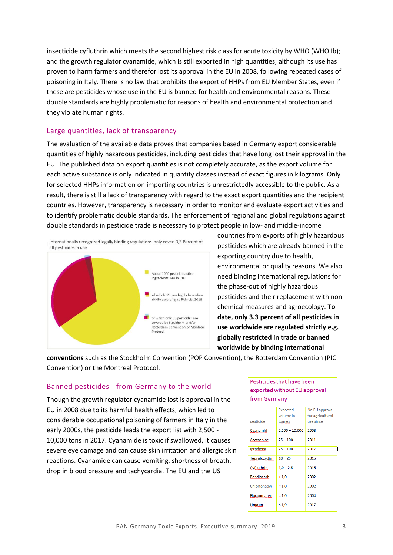insecticide cyfluthrin which meets the second highest risk class for acute toxicity by WHO (WHO Ib); and the growth regulator cyanamide, which is still exported in high quantities, although its use has proven to harm farmers and therefor lost its approval in the EU in 2008, following repeated cases of poisoning in Italy. There is no law that prohibits the export of HHPs from EU Member States, even if these are pesticides whose use in the EU is banned for health and environmental reasons. These double standards are highly problematic for reasons of health and environmental protection and they violate human rights.

## Large quantities, lack of transparency

The evaluation of the available data proves that companies based in Germany export considerable quantities of highly hazardous pesticides, including pesticides that have long lost their approval in the EU. The published data on export quantities is not completely accurate, as the export volume for each active substance is only indicated in quantity classes instead of exact figures in kilograms. Only for selected HHPs information on importing countries is unrestrictedly accessible to the public. As a result, there is still a lack of transparency with regard to the exact export quantities and the recipient countries. However, transparency is necessary in order to monitor and evaluate export activities and to identify problematic double standards. The enforcement of regional and global regulations against double standards in pesticide trade is necessary to protect people in low- and middle-income



countries from exports of highly hazardous pesticides which are already banned in the exporting country due to health, environmental or quality reasons. We also need binding international regulations for the phase-out of highly hazardous pesticides and their replacement with nonchemical measures and agroecology. **To date, only 3.3 percent of all pesticides in use worldwide are regulated strictly e.g. globally restricted in trade or banned worldwide by binding international** 

**conventions** such as the Stockholm Convention (POP Convention), the Rotterdam Convention (PIC Convention) or the Montreal Protocol.

## Banned pesticides - from Germany to the world

Though the growth regulator cyanamide lost is approval in the EU in 2008 due to its harmful health effects, which led to considerable occupational poisoning of farmers in Italy in the early 2000s, the pesticide leads the export list with 2,500 - 10,000 tons in 2017. Cyanamide is toxic if swallowed, it causes severe eye damage and can cause skin irritation and allergic skin reactions. Cyanamide can cause vomiting, shortness of breath, drop in blood pressure and tachycardia. The EU and the US

#### Pesticides that have been exported without EU approval from Germany

|                   | Exported         | No EU approval   |
|-------------------|------------------|------------------|
|                   | volume in        | for agricultural |
| pesticide         | tonnes.          | use since        |
| Cyanamid          | $2.500 - 10.000$ | 2008             |
| Acetochlor        | $25 - 100$       | 2011             |
| Iprodione         | $25 - 100$       | 2017             |
| Tepraloxydim      | $10 - 25$        | 2015             |
| Cyfl uthrin       | $1,0 - 2,5$      | 2016             |
| <b>Bendiocarb</b> | ${}_{< 1.0}$     | 2002             |
| Chlorfenapyr      | ${}_{< 1.0}$     | 2002             |
| Flocoumafen       | ${}_{< 1.0}$     | 2004             |
| Linuron           | ${}_{< 1.0}$     | 2017             |